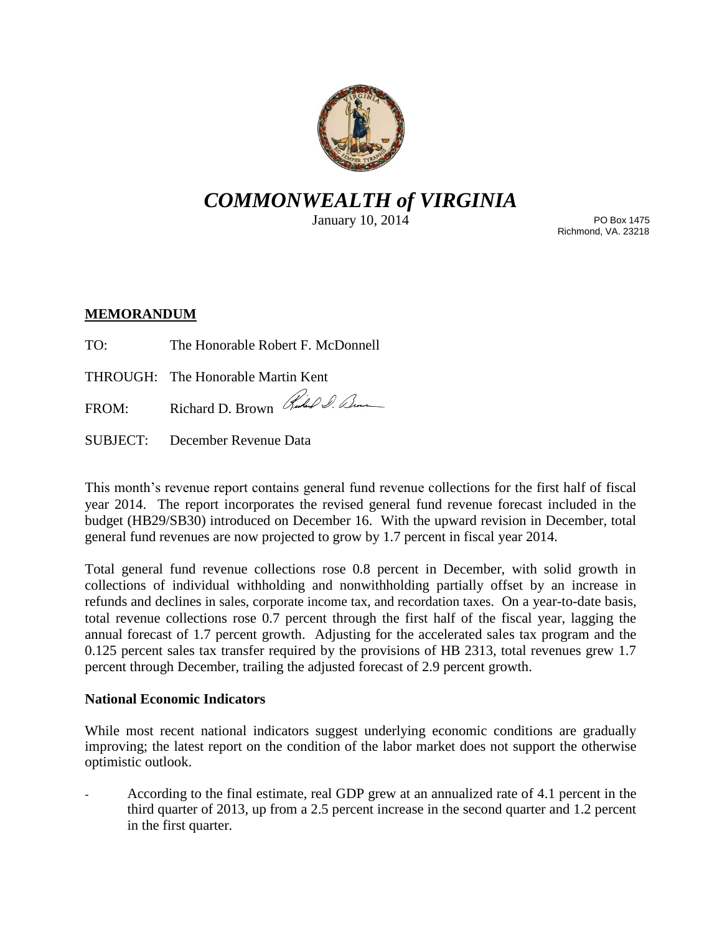

# *COMMONWEALTH of VIRGINIA*

January 10, 2014

PO Box 1475 Richmond, VA. 23218

## **MEMORANDUM**

TO: The Honorable Robert F. McDonnell

THROUGH: The Honorable Martin Kent

FROM: Richard D. Brown Richard D. Elm

SUBJECT: December Revenue Data

This month's revenue report contains general fund revenue collections for the first half of fiscal year 2014. The report incorporates the revised general fund revenue forecast included in the budget (HB29/SB30) introduced on December 16. With the upward revision in December, total general fund revenues are now projected to grow by 1.7 percent in fiscal year 2014.

Total general fund revenue collections rose 0.8 percent in December, with solid growth in collections of individual withholding and nonwithholding partially offset by an increase in refunds and declines in sales, corporate income tax, and recordation taxes. On a year-to-date basis, total revenue collections rose 0.7 percent through the first half of the fiscal year, lagging the annual forecast of 1.7 percent growth. Adjusting for the accelerated sales tax program and the 0.125 percent sales tax transfer required by the provisions of HB 2313, total revenues grew 1.7 percent through December, trailing the adjusted forecast of 2.9 percent growth.

## **National Economic Indicators**

While most recent national indicators suggest underlying economic conditions are gradually improving; the latest report on the condition of the labor market does not support the otherwise optimistic outlook.

- According to the final estimate, real GDP grew at an annualized rate of 4.1 percent in the third quarter of 2013, up from a 2.5 percent increase in the second quarter and 1.2 percent in the first quarter.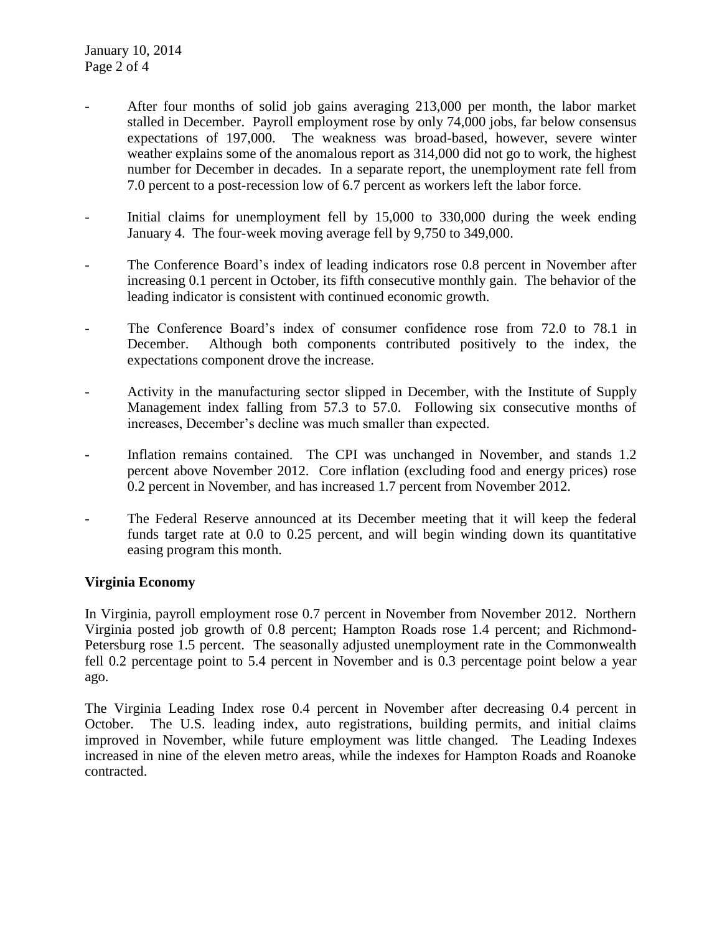- After four months of solid job gains averaging 213,000 per month, the labor market stalled in December. Payroll employment rose by only 74,000 jobs, far below consensus expectations of 197,000. The weakness was broad-based, however, severe winter weather explains some of the anomalous report as 314,000 did not go to work, the highest number for December in decades. In a separate report, the unemployment rate fell from 7.0 percent to a post-recession low of 6.7 percent as workers left the labor force.
- Initial claims for unemployment fell by 15,000 to 330,000 during the week ending January 4. The four-week moving average fell by 9,750 to 349,000.
- The Conference Board's index of leading indicators rose 0.8 percent in November after increasing 0.1 percent in October, its fifth consecutive monthly gain. The behavior of the leading indicator is consistent with continued economic growth.
- The Conference Board's index of consumer confidence rose from 72.0 to 78.1 in December. Although both components contributed positively to the index, the expectations component drove the increase.
- Activity in the manufacturing sector slipped in December, with the Institute of Supply Management index falling from 57.3 to 57.0. Following six consecutive months of increases, December's decline was much smaller than expected.
- Inflation remains contained. The CPI was unchanged in November, and stands 1.2 percent above November 2012. Core inflation (excluding food and energy prices) rose 0.2 percent in November, and has increased 1.7 percent from November 2012.
- The Federal Reserve announced at its December meeting that it will keep the federal funds target rate at 0.0 to 0.25 percent, and will begin winding down its quantitative easing program this month.

## **Virginia Economy**

In Virginia, payroll employment rose 0.7 percent in November from November 2012. Northern Virginia posted job growth of 0.8 percent; Hampton Roads rose 1.4 percent; and Richmond-Petersburg rose 1.5 percent. The seasonally adjusted unemployment rate in the Commonwealth fell 0.2 percentage point to 5.4 percent in November and is 0.3 percentage point below a year ago.

The Virginia Leading Index rose 0.4 percent in November after decreasing 0.4 percent in October. The U.S. leading index, auto registrations, building permits, and initial claims improved in November, while future employment was little changed. The Leading Indexes increased in nine of the eleven metro areas, while the indexes for Hampton Roads and Roanoke contracted.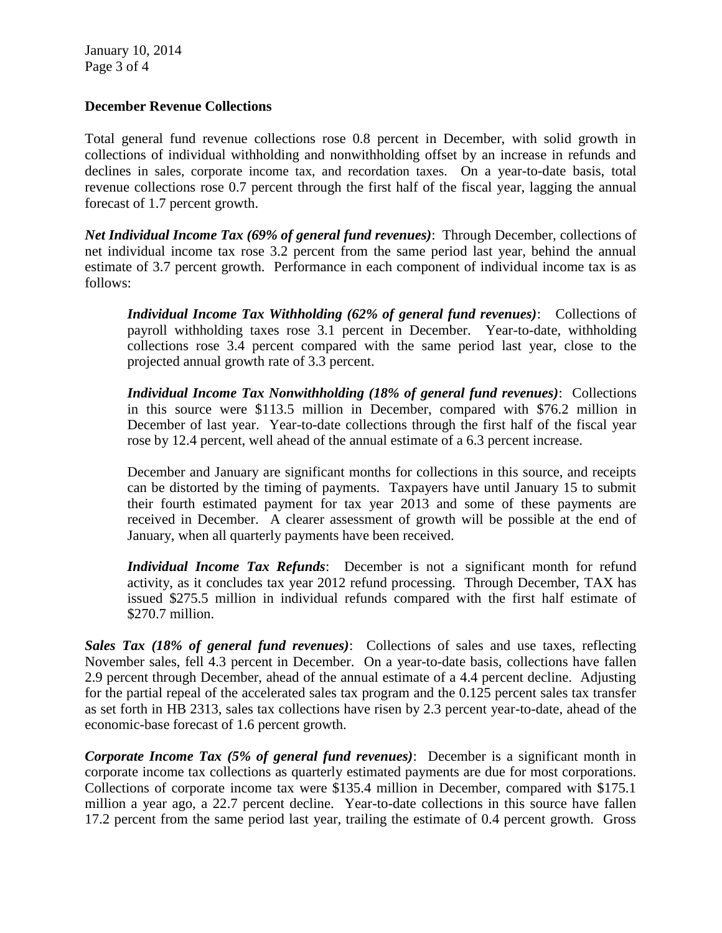January 10, 2014 Page 3 of 4

## **December Revenue Collections**

Total general fund revenue collections rose 0.8 percent in December, with solid growth in collections of individual withholding and nonwithholding offset by an increase in refunds and declines in sales, corporate income tax, and recordation taxes. On a year-to-date basis, total revenue collections rose 0.7 percent through the first half of the fiscal year, lagging the annual forecast of 1.7 percent growth.

*Net Individual Income Tax (69% of general fund revenues)*: Through December, collections of net individual income tax rose 3.2 percent from the same period last year, behind the annual estimate of 3.7 percent growth. Performance in each component of individual income tax is as follows:

*Individual Income Tax Withholding (62% of general fund revenues)*: Collections of payroll withholding taxes rose 3.1 percent in December. Year-to-date, withholding collections rose 3.4 percent compared with the same period last year, close to the projected annual growth rate of 3.3 percent.

*Individual Income Tax Nonwithholding (18% of general fund revenues)*: Collections in this source were \$113.5 million in December, compared with \$76.2 million in December of last year. Year-to-date collections through the first half of the fiscal year rose by 12.4 percent, well ahead of the annual estimate of a 6.3 percent increase.

December and January are significant months for collections in this source, and receipts can be distorted by the timing of payments. Taxpayers have until January 15 to submit their fourth estimated payment for tax year 2013 and some of these payments are received in December. A clearer assessment of growth will be possible at the end of January, when all quarterly payments have been received.

*Individual Income Tax Refunds*: December is not a significant month for refund activity, as it concludes tax year 2012 refund processing. Through December, TAX has issued \$275.5 million in individual refunds compared with the first half estimate of \$270.7 million.

*Sales Tax (18% of general fund revenues)*: Collections of sales and use taxes, reflecting November sales, fell 4.3 percent in December. On a year-to-date basis, collections have fallen 2.9 percent through December, ahead of the annual estimate of a 4.4 percent decline. Adjusting for the partial repeal of the accelerated sales tax program and the 0.125 percent sales tax transfer as set forth in HB 2313, sales tax collections have risen by 2.3 percent year-to-date, ahead of the economic-base forecast of 1.6 percent growth.

*Corporate Income Tax (5% of general fund revenues)*: December is a significant month in corporate income tax collections as quarterly estimated payments are due for most corporations. Collections of corporate income tax were \$135.4 million in December, compared with \$175.1 million a year ago, a 22.7 percent decline. Year-to-date collections in this source have fallen 17.2 percent from the same period last year, trailing the estimate of 0.4 percent growth. Gross